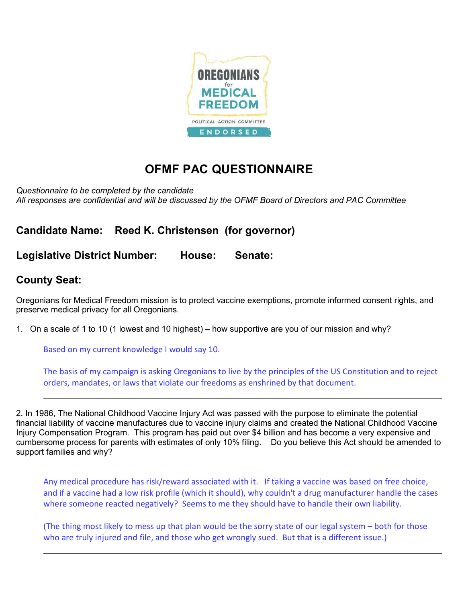

## OFMF PAC QUESTIONNAIRE

Questionnaire to be completed by the candidate All responses are confidential and will be discussed by the OFMF Board of Directors and PAC Committee

Candidate Name: Reed K. Christensen (for governor)

Legislative District Number: House: Senate:

## County Seat:

Oregonians for Medical Freedom mission is to protect vaccine exemptions, promote informed consent rights, and preserve medical privacy for all Oregonians.

1. On a scale of 1 to 10 (1 lowest and 10 highest) – how supportive are you of our mission and why?

Based on my current knowledge I would say 10.

The basis of my campaign is asking Oregonians to live by the principles of the US Constitution and to reject orders, mandates, or laws that violate our freedoms as enshrined by that document.

2. In 1986, The National Childhood Vaccine Injury Act was passed with the purpose to eliminate the potential financial liability of vaccine manufactures due to vaccine injury claims and created the National Childhood Vaccine Injury Compensation Program. This program has paid out over \$4 billion and has become a very expensive and cumbersome process for parents with estimates of only 10% filing. Do you believe this Act should be amended to support families and why?

Any medical procedure has risk/reward associated with it. If taking a vaccine was based on free choice, and if a vaccine had a low risk profile (which it should), why couldn't a drug manufacturer handle the cases where someone reacted negatively? Seems to me they should have to handle their own liability.

(The thing most likely to mess up that plan would be the sorry state of our legal system – both for those who are truly injured and file, and those who get wrongly sued. But that is a different issue.)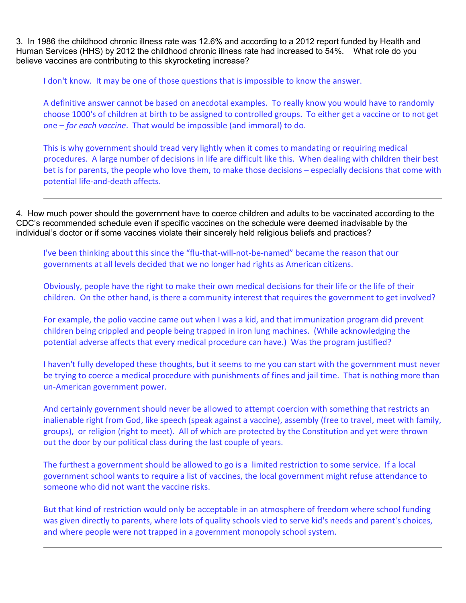3. In 1986 the childhood chronic illness rate was 12.6% and according to a 2012 report funded by Health and Human Services (HHS) by 2012 the childhood chronic illness rate had increased to 54%. What role do you believe vaccines are contributing to this skyrocketing increase?

I don't know. It may be one of those questions that is impossible to know the answer.

A definitive answer cannot be based on anecdotal examples. To really know you would have to randomly choose 1000's of children at birth to be assigned to controlled groups. To either get a vaccine or to not get one – for each vaccine. That would be impossible (and immoral) to do.

This is why government should tread very lightly when it comes to mandating or requiring medical procedures. A large number of decisions in life are difficult like this. When dealing with children their best bet is for parents, the people who love them, to make those decisions – especially decisions that come with potential life-and-death affects.

4. How much power should the government have to coerce children and adults to be vaccinated according to the CDC's recommended schedule even if specific vaccines on the schedule were deemed inadvisable by the individual's doctor or if some vaccines violate their sincerely held religious beliefs and practices?

I've been thinking about this since the "flu-that-will-not-be-named" became the reason that our governments at all levels decided that we no longer had rights as American citizens.

Obviously, people have the right to make their own medical decisions for their life or the life of their children. On the other hand, is there a community interest that requires the government to get involved?

For example, the polio vaccine came out when I was a kid, and that immunization program did prevent children being crippled and people being trapped in iron lung machines. (While acknowledging the potential adverse affects that every medical procedure can have.) Was the program justified?

I haven't fully developed these thoughts, but it seems to me you can start with the government must never be trying to coerce a medical procedure with punishments of fines and jail time. That is nothing more than un-American government power.

And certainly government should never be allowed to attempt coercion with something that restricts an inalienable right from God, like speech (speak against a vaccine), assembly (free to travel, meet with family, groups), or religion (right to meet). All of which are protected by the Constitution and yet were thrown out the door by our political class during the last couple of years.

The furthest a government should be allowed to go is a limited restriction to some service. If a local government school wants to require a list of vaccines, the local government might refuse attendance to someone who did not want the vaccine risks.

But that kind of restriction would only be acceptable in an atmosphere of freedom where school funding was given directly to parents, where lots of quality schools vied to serve kid's needs and parent's choices, and where people were not trapped in a government monopoly school system.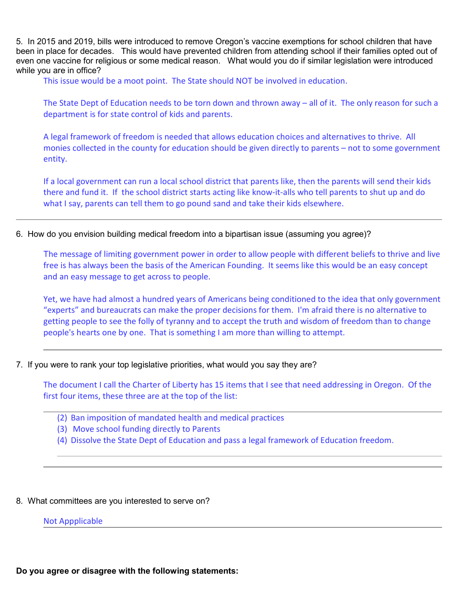5. In 2015 and 2019, bills were introduced to remove Oregon's vaccine exemptions for school children that have been in place for decades. This would have prevented children from attending school if their families opted out of even one vaccine for religious or some medical reason. What would you do if similar legislation were introduced while you are in office?

This issue would be a moot point. The State should NOT be involved in education.

The State Dept of Education needs to be torn down and thrown away – all of it. The only reason for such a department is for state control of kids and parents.

A legal framework of freedom is needed that allows education choices and alternatives to thrive. All monies collected in the county for education should be given directly to parents – not to some government entity.

If a local government can run a local school district that parents like, then the parents will send their kids there and fund it. If the school district starts acting like know-it-alls who tell parents to shut up and do what I say, parents can tell them to go pound sand and take their kids elsewhere.

6. How do you envision building medical freedom into a bipartisan issue (assuming you agree)?

The message of limiting government power in order to allow people with different beliefs to thrive and live free is has always been the basis of the American Founding. It seems like this would be an easy concept and an easy message to get across to people.

Yet, we have had almost a hundred years of Americans being conditioned to the idea that only government "experts" and bureaucrats can make the proper decisions for them. I'm afraid there is no alternative to getting people to see the folly of tyranny and to accept the truth and wisdom of freedom than to change people's hearts one by one. That is something I am more than willing to attempt.

7. If you were to rank your top legislative priorities, what would you say they are?

The document I call the Charter of Liberty has 15 items that I see that need addressing in Oregon. Of the first four items, these three are at the top of the list:

- (2) Ban imposition of mandated health and medical practices
- (3) Move school funding directly to Parents
- (4) Dissolve the State Dept of Education and pass a legal framework of Education freedom.
- 8. What committees are you interested to serve on?

## Not Appplicable

Do you agree or disagree with the following statements: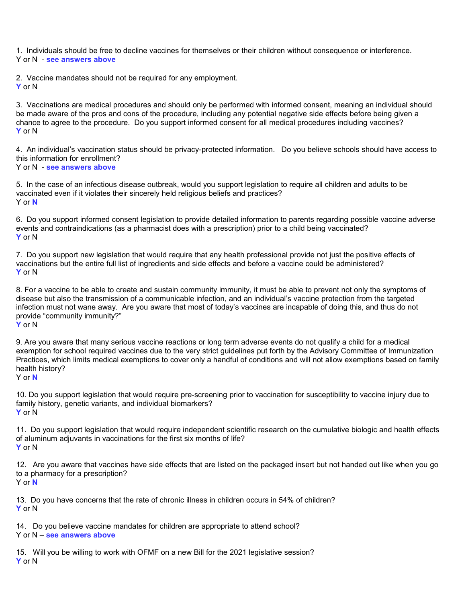1. Individuals should be free to decline vaccines for themselves or their children without consequence or interference. Y or N - see answers above

2. Vaccine mandates should not be required for any employment. Y or N

3. Vaccinations are medical procedures and should only be performed with informed consent, meaning an individual should be made aware of the pros and cons of the procedure, including any potential negative side effects before being given a chance to agree to the procedure. Do you support informed consent for all medical procedures including vaccines? Y or N

4. An individual's vaccination status should be privacy-protected information. Do you believe schools should have access to this information for enrollment? Y or N - see answers above

5. In the case of an infectious disease outbreak, would you support legislation to require all children and adults to be vaccinated even if it violates their sincerely held religious beliefs and practices? Y or N

6. Do you support informed consent legislation to provide detailed information to parents regarding possible vaccine adverse events and contraindications (as a pharmacist does with a prescription) prior to a child being vaccinated? Y or N

7. Do you support new legislation that would require that any health professional provide not just the positive effects of vaccinations but the entire full list of ingredients and side effects and before a vaccine could be administered? Y or N

8. For a vaccine to be able to create and sustain community immunity, it must be able to prevent not only the symptoms of disease but also the transmission of a communicable infection, and an individual's vaccine protection from the targeted infection must not wane away. Are you aware that most of today's vaccines are incapable of doing this, and thus do not provide "community immunity?"

Y or N

9. Are you aware that many serious vaccine reactions or long term adverse events do not qualify a child for a medical exemption for school required vaccines due to the very strict guidelines put forth by the Advisory Committee of Immunization Practices, which limits medical exemptions to cover only a handful of conditions and will not allow exemptions based on family health history?

Y or N

10. Do you support legislation that would require pre-screening prior to vaccination for susceptibility to vaccine injury due to family history, genetic variants, and individual biomarkers? Y or N

11. Do you support legislation that would require independent scientific research on the cumulative biologic and health effects of aluminum adjuvants in vaccinations for the first six months of life? Y or N

12. Are you aware that vaccines have side effects that are listed on the packaged insert but not handed out like when you go to a pharmacy for a prescription?

Y or N

13. Do you have concerns that the rate of chronic illness in children occurs in 54% of children? Y or N

14. Do you believe vaccine mandates for children are appropriate to attend school? Y or N – see answers above

15. Will you be willing to work with OFMF on a new Bill for the 2021 legislative session? Y or N